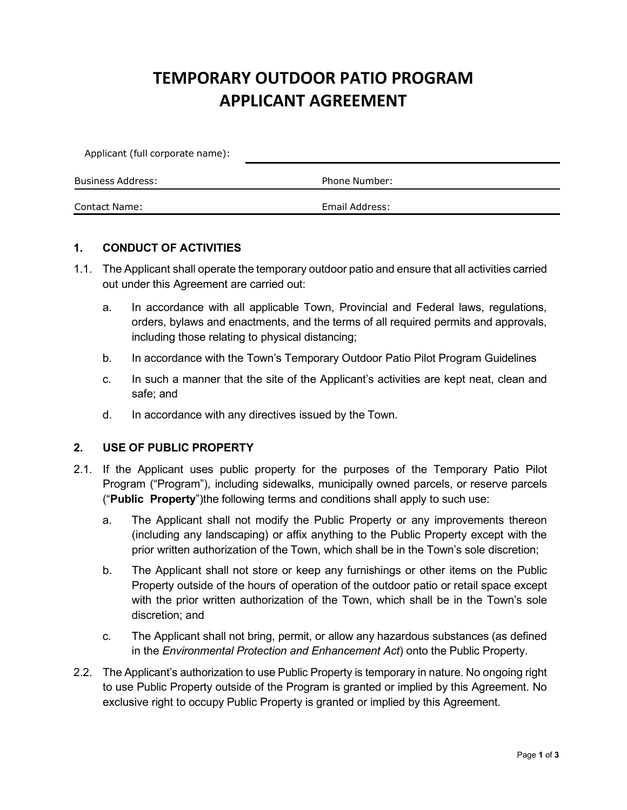# **TEMPORARY OUTDOOR PATIO PROGRAM APPLICANT AGREEMENT**

| Applicant (full corporate name): |                |  |
|----------------------------------|----------------|--|
| Business Address:                | Phone Number:  |  |
| <b>Contact Name:</b>             | Email Address: |  |

#### **1. CONDUCT OF ACTIVITIES**

- 1.1. The Applicant shall operate the temporary outdoor patio and ensure that all activities carried out under this Agreement are carried out:
	- a. In accordance with all applicable Town, Provincial and Federal laws, regulations, orders, bylaws and enactments, and the terms of all required permits and approvals, including those relating to physical distancing;
	- b. In accordance with the Town's Temporary Outdoor Patio Pilot Program Guidelines
	- c. In such a manner that the site of the Applicant's activities are kept neat, clean and safe; and
	- d. In accordance with any directives issued by the Town.

#### **2. USE OF PUBLIC PROPERTY**

- 2.1. If the Applicant uses public property for the purposes of the Temporary Patio Pilot Program ("Program"), including sidewalks, municipally owned parcels, or reserve parcels ("**Public Property**")the following terms and conditions shall apply to such use:
	- a. The Applicant shall not modify the Public Property or any improvements thereon (including any landscaping) or affix anything to the Public Property except with the prior written authorization of the Town, which shall be in the Town's sole discretion;
	- b. The Applicant shall not store or keep any furnishings or other items on the Public Property outside of the hours of operation of the outdoor patio or retail space except with the prior written authorization of the Town, which shall be in the Town's sole discretion; and
	- c. The Applicant shall not bring, permit, or allow any hazardous substances (as defined in the *Environmental Protection and Enhancement Act*) onto the Public Property.
- 2.2. The Applicant's authorization to use Public Property is temporary in nature. No ongoing right to use Public Property outside of the Program is granted or implied by this Agreement. No exclusive right to occupy Public Property is granted or implied by this Agreement.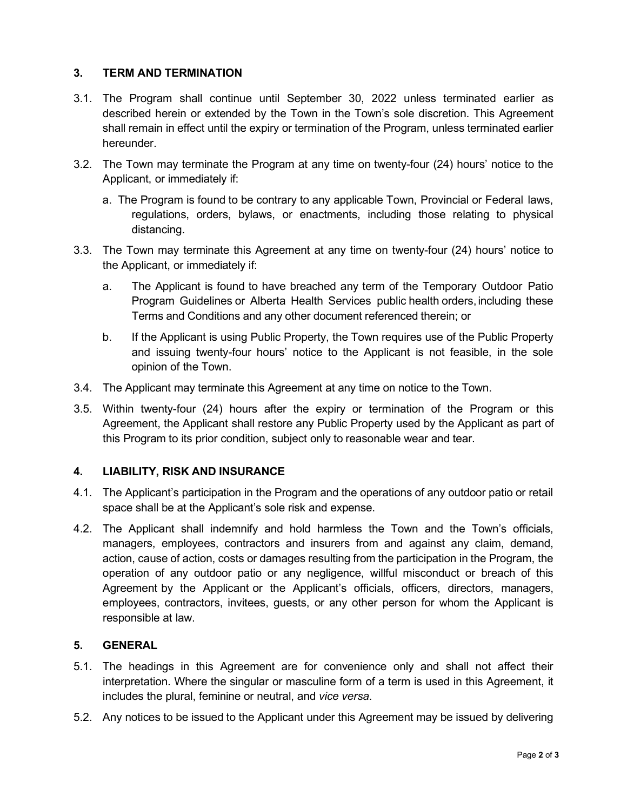## **3. TERM AND TERMINATION**

- 3.1. The Program shall continue until September 30, 2022 unless terminated earlier as described herein or extended by the Town in the Town's sole discretion. This Agreement shall remain in effect until the expiry or termination of the Program, unless terminated earlier hereunder.
- 3.2. The Town may terminate the Program at any time on twenty-four (24) hours' notice to the Applicant, or immediately if:
	- a. The Program is found to be contrary to any applicable Town, Provincial or Federal laws, regulations, orders, bylaws, or enactments, including those relating to physical distancing.
- 3.3. The Town may terminate this Agreement at any time on twenty-four (24) hours' notice to the Applicant, or immediately if:
	- a. The Applicant is found to have breached any term of the Temporary Outdoor Patio Program Guidelines or Alberta Health Services public health orders,including these Terms and Conditions and any other document referenced therein; or
	- b. If the Applicant is using Public Property, the Town requires use of the Public Property and issuing twenty-four hours' notice to the Applicant is not feasible, in the sole opinion of the Town.
- 3.4. The Applicant may terminate this Agreement at any time on notice to the Town.
- 3.5. Within twenty-four (24) hours after the expiry or termination of the Program or this Agreement, the Applicant shall restore any Public Property used by the Applicant as part of this Program to its prior condition, subject only to reasonable wear and tear.

### **4. LIABILITY, RISK AND INSURANCE**

- 4.1. The Applicant's participation in the Program and the operations of any outdoor patio or retail space shall be at the Applicant's sole risk and expense.
- 4.2. The Applicant shall indemnify and hold harmless the Town and the Town's officials, managers, employees, contractors and insurers from and against any claim, demand, action, cause of action, costs or damages resulting from the participation in the Program, the operation of any outdoor patio or any negligence, willful misconduct or breach of this Agreement by the Applicant or the Applicant's officials, officers, directors, managers, employees, contractors, invitees, guests, or any other person for whom the Applicant is responsible at law.

### **5. GENERAL**

- 5.1. The headings in this Agreement are for convenience only and shall not affect their interpretation. Where the singular or masculine form of a term is used in this Agreement, it includes the plural, feminine or neutral, and *vice versa*.
- 5.2. Any notices to be issued to the Applicant under this Agreement may be issued by delivering